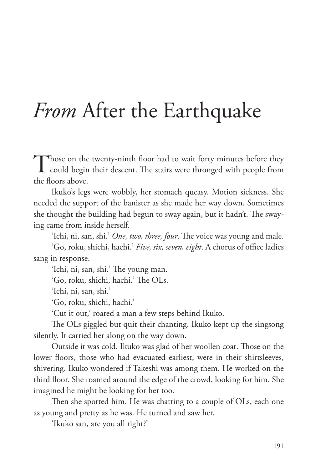## *From* After the Earthquake

Those on the twenty-ninth floor had to wait forty minutes before they could begin their descent. The stairs were thronged with people from the floors above.

Ikuko's legs were wobbly, her stomach queasy. Motion sickness. She needed the support of the banister as she made her way down. Sometimes she thought the building had begun to sway again, but it hadn't. The swaying came from inside herself.

'Ichi, ni, san, shi.' *One, two, three, four*. The voice was young and male. 'Go, roku, shichi, hachi.' *Five, six, seven, eight*. A chorus of office ladies sang in response.

'Ichi, ni, san, shi.' The young man.

'Go, roku, shichi, hachi.' The OLs.

'Ichi, ni, san, shi.'

'Go, roku, shichi, hachi.'

'Cut it out,' roared a man a few steps behind Ikuko.

The OLs giggled but quit their chanting. Ikuko kept up the singsong silently. It carried her along on the way down.

Outside it was cold. Ikuko was glad of her woollen coat. Those on the lower floors, those who had evacuated earliest, were in their shirtsleeves, shivering. Ikuko wondered if Takeshi was among them. He worked on the third foor. She roamed around the edge of the crowd, looking for him. She imagined he might be looking for her too.

Then she spotted him. He was chatting to a couple of OLs, each one as young and pretty as he was. He turned and saw her.

'Ikuko san, are you all right?'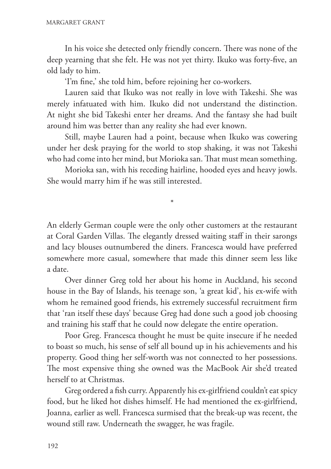In his voice she detected only friendly concern. There was none of the deep yearning that she felt. He was not yet thirty. Ikuko was forty-fve, an old lady to him.

'I'm fne,' she told him, before rejoining her co-workers.

Lauren said that Ikuko was not really in love with Takeshi. She was merely infatuated with him. Ikuko did not understand the distinction. At night she bid Takeshi enter her dreams. And the fantasy she had built around him was better than any reality she had ever known.

Still, maybe Lauren had a point, because when Ikuko was cowering under her desk praying for the world to stop shaking, it was not Takeshi who had come into her mind, but Morioka san. That must mean something.

Morioka san, with his receding hairline, hooded eyes and heavy jowls. She would marry him if he was still interested.

\*

An elderly German couple were the only other customers at the restaurant at Coral Garden Villas. The elegantly dressed waiting staff in their sarongs and lacy blouses outnumbered the diners. Francesca would have preferred somewhere more casual, somewhere that made this dinner seem less like a date.

Over dinner Greg told her about his home in Auckland, his second house in the Bay of Islands, his teenage son, 'a great kid', his ex-wife with whom he remained good friends, his extremely successful recruitment frm that 'ran itself these days' because Greg had done such a good job choosing and training his staff that he could now delegate the entire operation.

Poor Greg. Francesca thought he must be quite insecure if he needed to boast so much, his sense of self all bound up in his achievements and his property. Good thing her self-worth was not connected to her possessions. The most expensive thing she owned was the MacBook Air she'd treated herself to at Christmas.

Greg ordered a fsh curry. Apparently his ex-girlfriend couldn't eat spicy food, but he liked hot dishes himself. He had mentioned the ex-girlfriend, Joanna, earlier as well. Francesca surmised that the break-up was recent, the wound still raw. Underneath the swagger, he was fragile.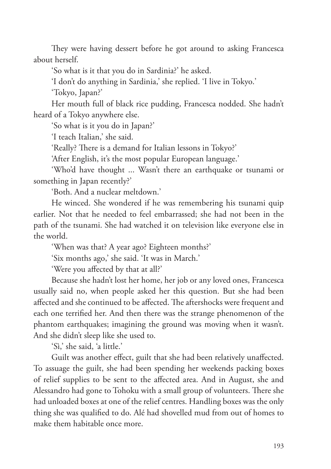They were having dessert before he got around to asking Francesca about herself.

'So what is it that you do in Sardinia?' he asked.

'I don't do anything in Sardinia,' she replied. 'I live in Tokyo.'

'Tokyo, Japan?'

Her mouth full of black rice pudding, Francesca nodded. She hadn't heard of a Tokyo anywhere else.

'So what is it you do in Japan?'

'I teach Italian,' she said.

'Really? There is a demand for Italian lessons in Tokyo?'

'After English, it's the most popular European language.'

'Who'd have thought ... Wasn't there an earthquake or tsunami or something in Japan recently?'

'Both. And a nuclear meltdown.'

He winced. She wondered if he was remembering his tsunami quip earlier. Not that he needed to feel embarrassed; she had not been in the path of the tsunami. She had watched it on television like everyone else in the world.

'When was that? A year ago? Eighteen months?'

'Six months ago,' she said. 'It was in March.'

'Were you afected by that at all?'

Because she hadn't lost her home, her job or any loved ones, Francesca usually said no, when people asked her this question. But she had been affected and she continued to be affected. The aftershocks were frequent and each one terrifed her. And then there was the strange phenomenon of the phantom earthquakes; imagining the ground was moving when it wasn't. And she didn't sleep like she used to.

'Sì,' she said, 'a little.'

Guilt was another effect, guilt that she had been relatively unaffected. To assuage the guilt, she had been spending her weekends packing boxes of relief supplies to be sent to the afected area. And in August, she and Alessandro had gone to Tohoku with a small group of volunteers. There she had unloaded boxes at one of the relief centres. Handling boxes was the only thing she was qualifed to do. Alé had shovelled mud from out of homes to make them habitable once more.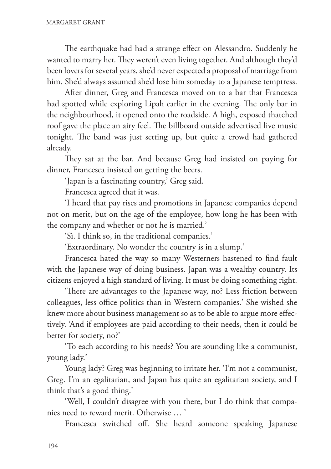The earthquake had had a strange effect on Alessandro. Suddenly he wanted to marry her. They weren't even living together. And although they'd been lovers for several years, she'd never expected a proposal of marriage from him. She'd always assumed she'd lose him someday to a Japanese temptress.

After dinner, Greg and Francesca moved on to a bar that Francesca had spotted while exploring Lipah earlier in the evening. The only bar in the neighbourhood, it opened onto the roadside. A high, exposed thatched roof gave the place an airy feel. The billboard outside advertised live music tonight. The band was just setting up, but quite a crowd had gathered already.

They sat at the bar. And because Greg had insisted on paying for dinner, Francesca insisted on getting the beers.

'Japan is a fascinating country,' Greg said.

Francesca agreed that it was.

'I heard that pay rises and promotions in Japanese companies depend not on merit, but on the age of the employee, how long he has been with the company and whether or not he is married.'

'Sì. I think so, in the traditional companies.'

'Extraordinary. No wonder the country is in a slump.'

Francesca hated the way so many Westerners hastened to fnd fault with the Japanese way of doing business. Japan was a wealthy country. Its citizens enjoyed a high standard of living. It must be doing something right.

'There are advantages to the Japanese way, no? Less friction between colleagues, less office politics than in Western companies.' She wished she knew more about business management so as to be able to argue more efectively. 'And if employees are paid according to their needs, then it could be better for society, no?'

'To each according to his needs? You are sounding like a communist, young lady.'

Young lady? Greg was beginning to irritate her. 'I'm not a communist, Greg. I'm an egalitarian, and Japan has quite an egalitarian society, and I think that's a good thing.'

'Well, I couldn't disagree with you there, but I do think that companies need to reward merit. Otherwise … '

Francesca switched of. She heard someone speaking Japanese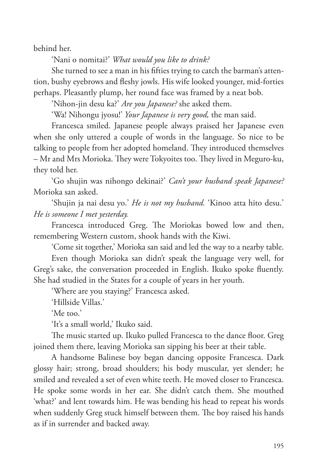behind her.

'Nani o nomitai?' *What would you like to drink?*

She turned to see a man in his ffties trying to catch the barman's attention, bushy eyebrows and feshy jowls. His wife looked younger, mid-forties perhaps. Pleasantly plump, her round face was framed by a neat bob.

'Nihon-jin desu ka?' *Are you Japanese?* she asked them.

'Wa! Nihongu jyosu!' *Your Japanese is very good,* the man said.

Francesca smiled. Japanese people always praised her Japanese even when she only uttered a couple of words in the language. So nice to be talking to people from her adopted homeland. They introduced themselves – Mr and Mrs Morioka. They were Tokyoites too. They lived in Meguro-ku, they told her.

'Go shujin was nihongo dekinai?' *Can't your husband speak Japanese?* Morioka san asked.

'Shujin ja nai desu yo.' *He is not my husband.* 'Kinoo atta hito desu.' *He is someone I met yesterday.*

Francesca introduced Greg. The Moriokas bowed low and then, remembering Western custom, shook hands with the Kiwi.

'Come sit together,' Morioka san said and led the way to a nearby table.

Even though Morioka san didn't speak the language very well, for Greg's sake, the conversation proceeded in English. Ikuko spoke fuently. She had studied in the States for a couple of years in her youth.

'Where are you staying?' Francesca asked.

'Hillside Villas.'

'Me too.'

'It's a small world,' Ikuko said.

The music started up. Ikuko pulled Francesca to the dance floor. Greg joined them there, leaving Morioka san sipping his beer at their table.

A handsome Balinese boy began dancing opposite Francesca. Dark glossy hair; strong, broad shoulders; his body muscular, yet slender; he smiled and revealed a set of even white teeth. He moved closer to Francesca. He spoke some words in her ear. She didn't catch them. She mouthed 'what?' and lent towards him. He was bending his head to repeat his words when suddenly Greg stuck himself between them. The boy raised his hands as if in surrender and backed away.